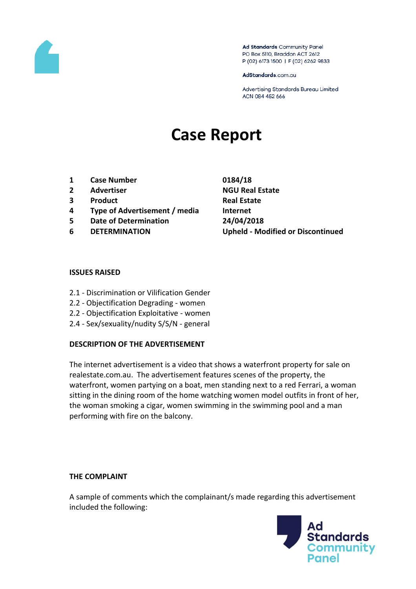

Ad Standards Community Panel PO Box 5110, Braddon ACT 2612 P (02) 6173 1500 | F (02) 6262 9833

AdStandards.com.au

Advertising Standards Bureau Limited ACN 084 452 666

# **Case Report**

- **1 Case Number 0184/18**
- **2 Advertiser NGU Real Estate**
- **3 Product Real Estate**
- **4 Type of Advertisement / media Internet**
- **5 Date of Determination 24/04/2018**
- 

**6 DETERMINATION Upheld - Modified or Discontinued**

#### **ISSUES RAISED**

- 2.1 Discrimination or Vilification Gender
- 2.2 Objectification Degrading women
- 2.2 Objectification Exploitative women
- 2.4 Sex/sexuality/nudity S/S/N general

#### **DESCRIPTION OF THE ADVERTISEMENT**

The internet advertisement is a video that shows a waterfront property for sale on realestate.com.au. The advertisement features scenes of the property, the waterfront, women partying on a boat, men standing next to a red Ferrari, a woman sitting in the dining room of the home watching women model outfits in front of her, the woman smoking a cigar, women swimming in the swimming pool and a man performing with fire on the balcony.

#### **THE COMPLAINT**

A sample of comments which the complainant/s made regarding this advertisement included the following:

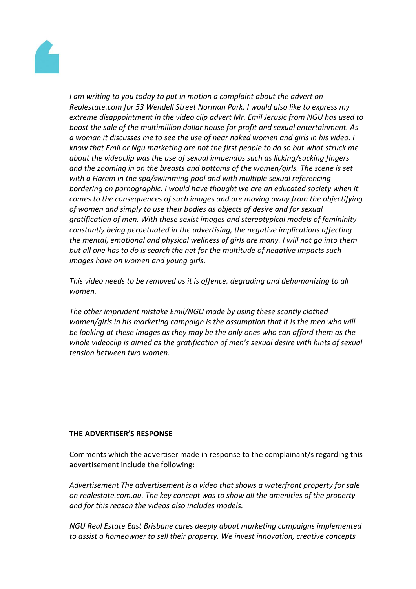

*I am writing to you today to put in motion a complaint about the advert on Realestate.com for 53 Wendell Street Norman Park. I would also like to express my extreme disappointment in the video clip advert Mr. Emil Jerusic from NGU has used to boost the sale of the multimillion dollar house for profit and sexual entertainment. As a woman it discusses me to see the use of near naked women and girls in his video. I know that Emil or Ngu marketing are not the first people to do so but what struck me about the videoclip was the use of sexual innuendos such as licking/sucking fingers and the zooming in on the breasts and bottoms of the women/girls. The scene is set with a Harem in the spa/swimming pool and with multiple sexual referencing bordering on pornographic. I would have thought we are an educated society when it comes to the consequences of such images and are moving away from the objectifying of women and simply to use their bodies as objects of desire and for sexual gratification of men. With these sexist images and stereotypical models of femininity constantly being perpetuated in the advertising, the negative implications affecting the mental, emotional and physical wellness of girls are many. I will not go into them but all one has to do is search the net for the multitude of negative impacts such images have on women and young girls.*

*This video needs to be removed as it is offence, degrading and dehumanizing to all women.*

*The other imprudent mistake Emil/NGU made by using these scantly clothed women/girls in his marketing campaign is the assumption that it is the men who will be looking at these images as they may be the only ones who can afford them as the whole videoclip is aimed as the gratification of men's sexual desire with hints of sexual tension between two women.*

#### **THE ADVERTISER'S RESPONSE**

Comments which the advertiser made in response to the complainant/s regarding this advertisement include the following:

*Advertisement The advertisement is a video that shows a waterfront property for sale on realestate.com.au. The key concept was to show all the amenities of the property and for this reason the videos also includes models.*

*NGU Real Estate East Brisbane cares deeply about marketing campaigns implemented to assist a homeowner to sell their property. We invest innovation, creative concepts*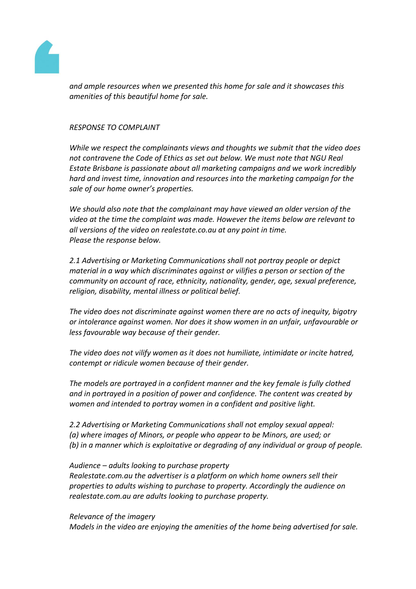

*and ample resources when we presented this home for sale and it showcases this amenities of this beautiful home for sale.* 

#### *RESPONSE TO COMPLAINT*

*While we respect the complainants views and thoughts we submit that the video does not contravene the Code of Ethics as set out below. We must note that NGU Real Estate Brisbane is passionate about all marketing campaigns and we work incredibly hard and invest time, innovation and resources into the marketing campaign for the sale of our home owner's properties.* 

*We should also note that the complainant may have viewed an older version of the video at the time the complaint was made. However the items below are relevant to all versions of the video on realestate.co.au at any point in time. Please the response below.*

*2.1 Advertising or Marketing Communications shall not portray people or depict material in a way which discriminates against or vilifies a person or section of the community on account of race, ethnicity, nationality, gender, age, sexual preference, religion, disability, mental illness or political belief.*

*The video does not discriminate against women there are no acts of inequity, bigotry or intolerance against women. Nor does it show women in an unfair, unfavourable or less favourable way because of their gender.*

*The video does not vilify women as it does not humiliate, intimidate or incite hatred, contempt or ridicule women because of their gender.*

*The models are portrayed in a confident manner and the key female is fully clothed and in portrayed in a position of power and confidence. The content was created by women and intended to portray women in a confident and positive light.* 

*2.2 Advertising or Marketing Communications shall not employ sexual appeal: (a) where images of Minors, or people who appear to be Minors, are used; or (b) in a manner which is exploitative or degrading of any individual or group of people.*

*Audience – adults looking to purchase property Realestate.com.au the advertiser is a platform on which home owners sell their properties to adults wishing to purchase to property. Accordingly the audience on realestate.com.au are adults looking to purchase property.*

*Relevance of the imagery Models in the video are enjoying the amenities of the home being advertised for sale.*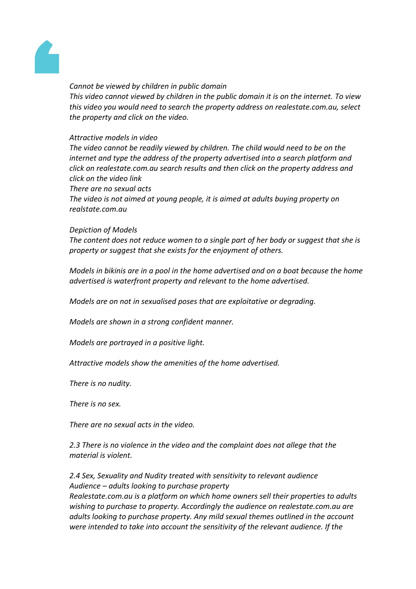

#### *Cannot be viewed by children in public domain*

*This video cannot viewed by children in the public domain it is on the internet. To view this video you would need to search the property address on realestate.com.au, select the property and click on the video.* 

# *Attractive models in video*

*The video cannot be readily viewed by children. The child would need to be on the internet and type the address of the property advertised into a search platform and click on realestate.com.au search results and then click on the property address and click on the video link* 

*There are no sexual acts* 

*The video is not aimed at young people, it is aimed at adults buying property on realstate.com.au*

#### *Depiction of Models*

*The content does not reduce women to a single part of her body or suggest that she is property or suggest that she exists for the enjoyment of others.* 

*Models in bikinis are in a pool in the home advertised and on a boat because the home advertised is waterfront property and relevant to the home advertised.*

*Models are on not in sexualised poses that are exploitative or degrading.*

*Models are shown in a strong confident manner.*

*Models are portrayed in a positive light.*

*Attractive models show the amenities of the home advertised.*

*There is no nudity.* 

*There is no sex.* 

*There are no sexual acts in the video.*

*2.3 There is no violence in the video and the complaint does not allege that the material is violent.*

*2.4 Sex, Sexuality and Nudity treated with sensitivity to relevant audience Audience – adults looking to purchase property Realestate.com.au is a platform on which home owners sell their properties to adults wishing to purchase to property. Accordingly the audience on realestate.com.au are adults looking to purchase property. Any mild sexual themes outlined in the account were intended to take into account the sensitivity of the relevant audience. If the*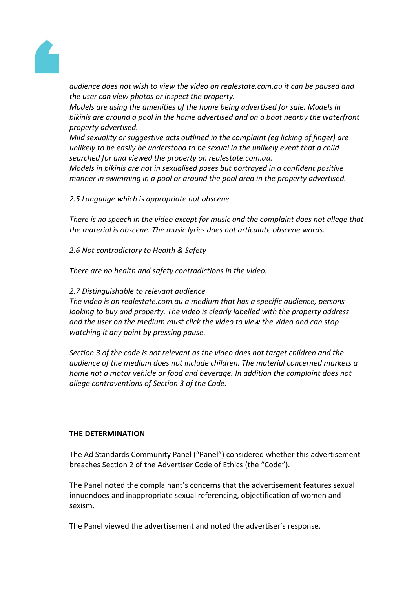

*audience does not wish to view the video on realestate.com.au it can be paused and the user can view photos or inspect the property.* 

*Models are using the amenities of the home being advertised for sale. Models in bikinis are around a pool in the home advertised and on a boat nearby the waterfront property advertised.* 

*Mild sexuality or suggestive acts outlined in the complaint (eg licking of finger) are unlikely to be easily be understood to be sexual in the unlikely event that a child searched for and viewed the property on realestate.com.au.*

*Models in bikinis are not in sexualised poses but portrayed in a confident positive manner in swimming in a pool or around the pool area in the property advertised.*

# *2.5 Language which is appropriate not obscene*

*There is no speech in the video except for music and the complaint does not allege that the material is obscene. The music lyrics does not articulate obscene words.*

*2.6 Not contradictory to Health & Safety* 

*There are no health and safety contradictions in the video.*

# *2.7 Distinguishable to relevant audience*

*The video is on realestate.com.au a medium that has a specific audience, persons looking to buy and property. The video is clearly labelled with the property address and the user on the medium must click the video to view the video and can stop watching it any point by pressing pause.* 

*Section 3 of the code is not relevant as the video does not target children and the audience of the medium does not include children. The material concerned markets a home not a motor vehicle or food and beverage. In addition the complaint does not allege contraventions of Section 3 of the Code.*

#### **THE DETERMINATION**

The Ad Standards Community Panel ("Panel") considered whether this advertisement breaches Section 2 of the Advertiser Code of Ethics (the "Code").

The Panel noted the complainant's concerns that the advertisement features sexual innuendoes and inappropriate sexual referencing, objectification of women and sexism.

The Panel viewed the advertisement and noted the advertiser's response.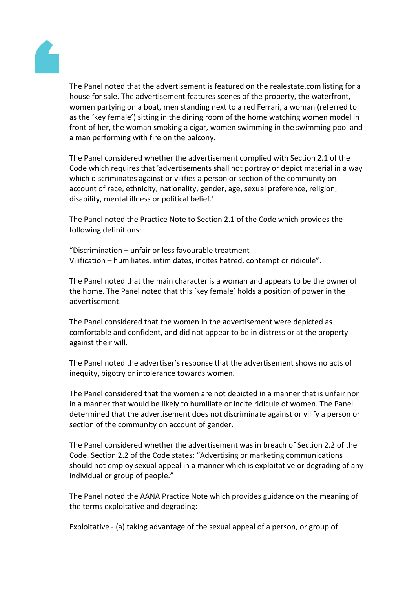

The Panel noted that the advertisement is featured on the realestate.com listing for a house for sale. The advertisement features scenes of the property, the waterfront, women partying on a boat, men standing next to a red Ferrari, a woman (referred to as the 'key female') sitting in the dining room of the home watching women model in front of her, the woman smoking a cigar, women swimming in the swimming pool and a man performing with fire on the balcony.

The Panel considered whether the advertisement complied with Section 2.1 of the Code which requires that 'advertisements shall not portray or depict material in a way which discriminates against or vilifies a person or section of the community on account of race, ethnicity, nationality, gender, age, sexual preference, religion, disability, mental illness or political belief.'

The Panel noted the Practice Note to Section 2.1 of the Code which provides the following definitions:

"Discrimination – unfair or less favourable treatment Vilification – humiliates, intimidates, incites hatred, contempt or ridicule".

The Panel noted that the main character is a woman and appears to be the owner of the home. The Panel noted that this 'key female' holds a position of power in the advertisement.

The Panel considered that the women in the advertisement were depicted as comfortable and confident, and did not appear to be in distress or at the property against their will.

The Panel noted the advertiser's response that the advertisement shows no acts of inequity, bigotry or intolerance towards women.

The Panel considered that the women are not depicted in a manner that is unfair nor in a manner that would be likely to humiliate or incite ridicule of women. The Panel determined that the advertisement does not discriminate against or vilify a person or section of the community on account of gender.

The Panel considered whether the advertisement was in breach of Section 2.2 of the Code. Section 2.2 of the Code states: "Advertising or marketing communications should not employ sexual appeal in a manner which is exploitative or degrading of any individual or group of people."

The Panel noted the AANA Practice Note which provides guidance on the meaning of the terms exploitative and degrading:

Exploitative - (a) taking advantage of the sexual appeal of a person, or group of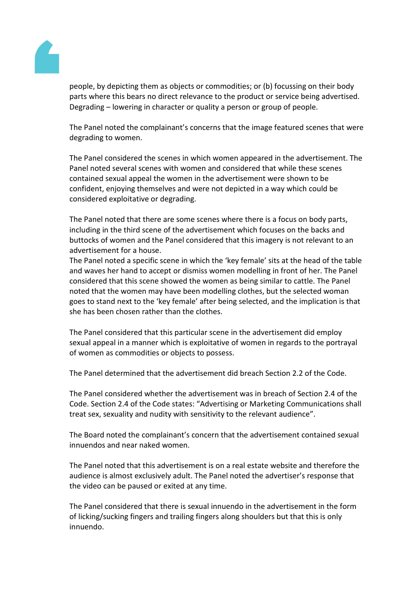

people, by depicting them as objects or commodities; or (b) focussing on their body parts where this bears no direct relevance to the product or service being advertised. Degrading – lowering in character or quality a person or group of people.

The Panel noted the complainant's concerns that the image featured scenes that were degrading to women.

The Panel considered the scenes in which women appeared in the advertisement. The Panel noted several scenes with women and considered that while these scenes contained sexual appeal the women in the advertisement were shown to be confident, enjoying themselves and were not depicted in a way which could be considered exploitative or degrading.

The Panel noted that there are some scenes where there is a focus on body parts, including in the third scene of the advertisement which focuses on the backs and buttocks of women and the Panel considered that this imagery is not relevant to an advertisement for a house.

The Panel noted a specific scene in which the 'key female' sits at the head of the table and waves her hand to accept or dismiss women modelling in front of her. The Panel considered that this scene showed the women as being similar to cattle. The Panel noted that the women may have been modelling clothes, but the selected woman goes to stand next to the 'key female' after being selected, and the implication is that she has been chosen rather than the clothes.

The Panel considered that this particular scene in the advertisement did employ sexual appeal in a manner which is exploitative of women in regards to the portrayal of women as commodities or objects to possess.

The Panel determined that the advertisement did breach Section 2.2 of the Code.

The Panel considered whether the advertisement was in breach of Section 2.4 of the Code. Section 2.4 of the Code states: "Advertising or Marketing Communications shall treat sex, sexuality and nudity with sensitivity to the relevant audience".

The Board noted the complainant's concern that the advertisement contained sexual innuendos and near naked women.

The Panel noted that this advertisement is on a real estate website and therefore the audience is almost exclusively adult. The Panel noted the advertiser's response that the video can be paused or exited at any time.

The Panel considered that there is sexual innuendo in the advertisement in the form of licking/sucking fingers and trailing fingers along shoulders but that this is only innuendo.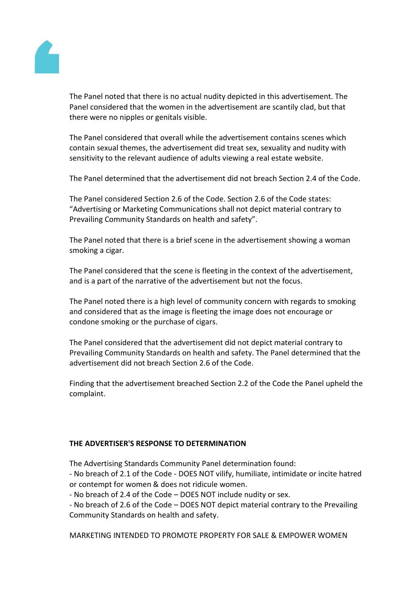

The Panel noted that there is no actual nudity depicted in this advertisement. The Panel considered that the women in the advertisement are scantily clad, but that there were no nipples or genitals visible.

The Panel considered that overall while the advertisement contains scenes which contain sexual themes, the advertisement did treat sex, sexuality and nudity with sensitivity to the relevant audience of adults viewing a real estate website.

The Panel determined that the advertisement did not breach Section 2.4 of the Code.

The Panel considered Section 2.6 of the Code. Section 2.6 of the Code states: "Advertising or Marketing Communications shall not depict material contrary to Prevailing Community Standards on health and safety".

The Panel noted that there is a brief scene in the advertisement showing a woman smoking a cigar.

The Panel considered that the scene is fleeting in the context of the advertisement, and is a part of the narrative of the advertisement but not the focus.

The Panel noted there is a high level of community concern with regards to smoking and considered that as the image is fleeting the image does not encourage or condone smoking or the purchase of cigars.

The Panel considered that the advertisement did not depict material contrary to Prevailing Community Standards on health and safety. The Panel determined that the advertisement did not breach Section 2.6 of the Code.

Finding that the advertisement breached Section 2.2 of the Code the Panel upheld the complaint.

# **THE ADVERTISER'S RESPONSE TO DETERMINATION**

The Advertising Standards Community Panel determination found:

- No breach of 2.1 of the Code - DOES NOT vilify, humiliate, intimidate or incite hatred or contempt for women & does not ridicule women.

- No breach of 2.4 of the Code – DOES NOT include nudity or sex.

- No breach of 2.6 of the Code – DOES NOT depict material contrary to the Prevailing Community Standards on health and safety.

MARKETING INTENDED TO PROMOTE PROPERTY FOR SALE & EMPOWER WOMEN